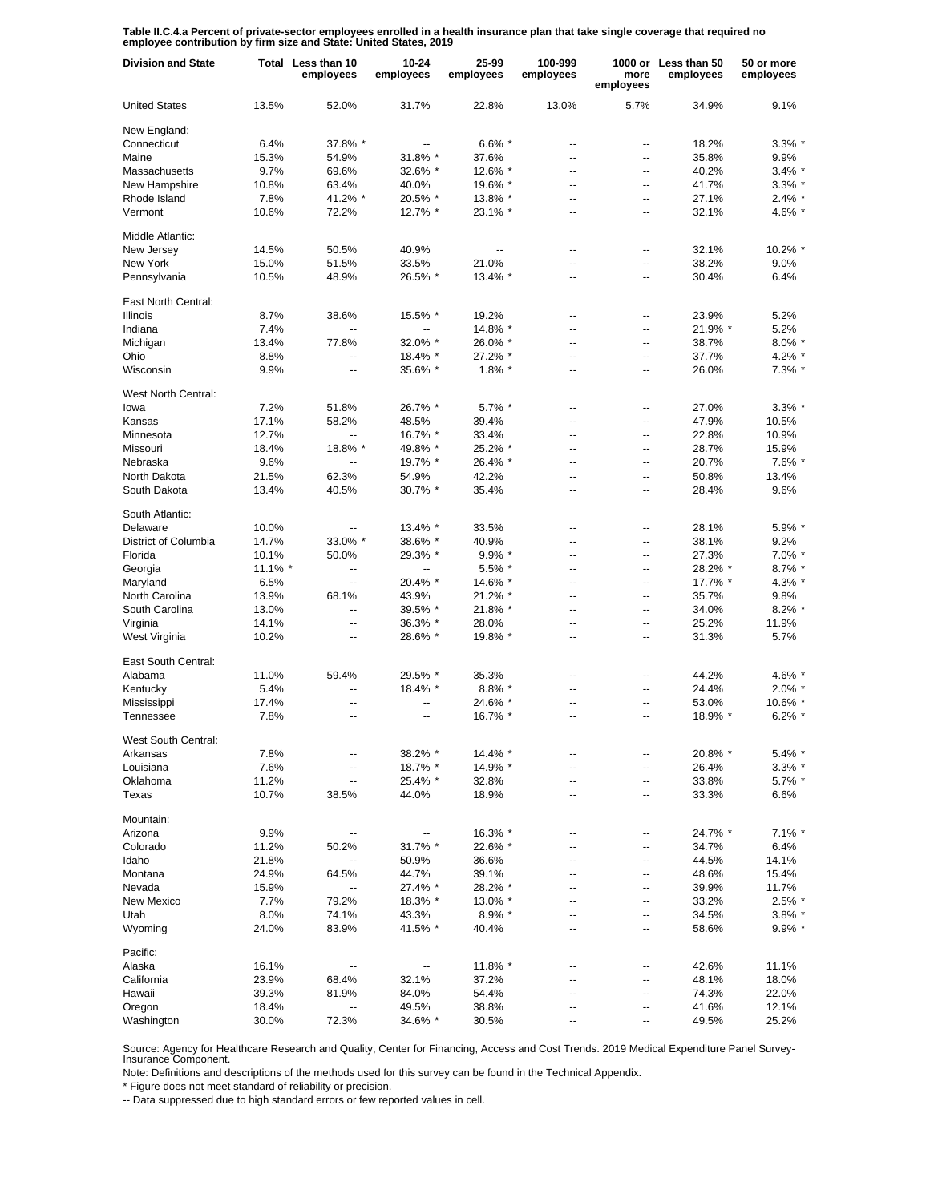**Table II.C.4.a Percent of private-sector employees enrolled in a health insurance plan that take single coverage that required no employee contribution by firm size and State: United States, 2019**

| <b>Division and State</b> |         | Total Less than 10<br>employees | $10 - 24$<br>employees   | 25-99<br>employees | 100-999<br>employees     | more<br>employees | 1000 or Less than 50<br>employees | 50 or more<br>employees |
|---------------------------|---------|---------------------------------|--------------------------|--------------------|--------------------------|-------------------|-----------------------------------|-------------------------|
| <b>United States</b>      | 13.5%   | 52.0%                           | 31.7%                    | 22.8%              | 13.0%                    | 5.7%              | 34.9%                             | 9.1%                    |
| New England:              |         |                                 |                          |                    |                          |                   |                                   |                         |
| Connecticut               | 6.4%    | 37.8% *                         | $\overline{\phantom{a}}$ | $6.6\%$ *          | $\overline{\phantom{a}}$ | ۰.                | 18.2%                             | $3.3\%$                 |
| Maine                     | 15.3%   | 54.9%                           | 31.8% *                  | 37.6%              | ÷.                       | Ξ.                | 35.8%                             | 9.9%                    |
| Massachusetts             | 9.7%    | 69.6%                           | 32.6% *                  | 12.6% *            | $\overline{a}$           | ۰.                | 40.2%                             | $3.4\%$                 |
| New Hampshire             | 10.8%   | 63.4%                           | 40.0%                    | 19.6% *            | $\overline{a}$           | ۰.                | 41.7%                             | $3.3\%$ $*$             |
| Rhode Island              | 7.8%    | 41.2% *                         | 20.5% *                  | 13.8% *            | $\overline{\phantom{a}}$ | ۰.                | 27.1%                             | $2.4\%$ $*$             |
| Vermont                   | 10.6%   | 72.2%                           | 12.7% *                  | 23.1% *            | $\overline{\phantom{a}}$ | ۰.                | 32.1%                             | 4.6% *                  |
| Middle Atlantic:          |         |                                 |                          |                    |                          |                   |                                   |                         |
| New Jersey                | 14.5%   | 50.5%                           | 40.9%                    | $\overline{a}$     | $\overline{a}$           | --                | 32.1%                             | 10.2% *                 |
| New York                  | 15.0%   | 51.5%                           | 33.5%                    | 21.0%              | $\overline{a}$           | -−                | 38.2%                             | 9.0%                    |
| Pennsylvania              | 10.5%   | 48.9%                           | 26.5% *                  | 13.4% *            | $\overline{\phantom{a}}$ | Ξ.                | 30.4%                             | 6.4%                    |
| East North Central:       |         |                                 |                          |                    |                          |                   |                                   |                         |
| <b>Illinois</b>           | 8.7%    | 38.6%                           | 15.5% *                  | 19.2%              | --                       | --                | 23.9%                             | 5.2%                    |
| Indiana                   | 7.4%    | Щ,                              | --                       | 14.8% *            | $\overline{\phantom{a}}$ | --                | 21.9% *                           | 5.2%                    |
| Michigan                  | 13.4%   | 77.8%                           | 32.0% *                  | 26.0% *            | --                       | --                | 38.7%                             | $8.0\%$                 |
| Ohio                      | 8.8%    | --                              | 18.4% *                  | 27.2% *            | $\overline{a}$           | --                | 37.7%                             | $4.2\%$                 |
| Wisconsin                 | 9.9%    | $\overline{a}$                  | 35.6% *                  | 1.8% *             | Ξ.                       | Ξ.                | 26.0%                             | $7.3\%$ *               |
|                           |         |                                 |                          |                    |                          |                   |                                   |                         |
| West North Central:       |         |                                 |                          | $5.7\%$ *          | $\overline{a}$           | ۰.                |                                   | $3.3\%$ $*$             |
| lowa                      | 7.2%    | 51.8%                           | 26.7% *                  |                    |                          |                   | 27.0%                             |                         |
| Kansas                    | 17.1%   | 58.2%                           | 48.5%                    | 39.4%              | $\overline{\phantom{a}}$ | Ξ.                | 47.9%                             | 10.5%                   |
| Minnesota                 | 12.7%   | Щ,                              | 16.7% *                  | 33.4%              | $\overline{\phantom{a}}$ | ۰.                | 22.8%                             | 10.9%                   |
| Missouri                  | 18.4%   | 18.8% *                         | 49.8% *                  | 25.2% *            | $\overline{a}$           | Ξ.                | 28.7%                             | 15.9%                   |
| Nebraska                  | 9.6%    | ÷.                              | 19.7% *                  | 26.4% *            | $\overline{a}$           | --                | 20.7%                             | $7.6\%$                 |
| North Dakota              | 21.5%   | 62.3%                           | 54.9%                    | 42.2%              | $\overline{a}$           | Ξ.                | 50.8%                             | 13.4%                   |
| South Dakota              | 13.4%   | 40.5%                           | 30.7% *                  | 35.4%              | $\overline{a}$           | Ξ.                | 28.4%                             | 9.6%                    |
| South Atlantic:           |         |                                 |                          |                    |                          |                   |                                   |                         |
| Delaware                  | 10.0%   |                                 | $13.4\%$ *               | 33.5%              | --                       | --                | 28.1%                             | 5.9%                    |
| District of Columbia      | 14.7%   | 33.0% *                         | 38.6% *                  | 40.9%              | $\overline{\phantom{a}}$ | Ξ.                | 38.1%                             | 9.2%                    |
| Florida                   | 10.1%   | 50.0%                           | 29.3% *                  | $9.9\%$ *          | $\overline{\phantom{a}}$ | --                | 27.3%                             | $7.0\%$ $*$             |
| Georgia                   | 11.1% * | --                              | --                       | $5.5\%$ *          | $\overline{\phantom{a}}$ | --                | 28.2% *                           | $8.7\%$                 |
| Maryland                  | 6.5%    | ш,                              | 20.4% *                  | 14.6% *            | $\overline{a}$           | --                | 17.7% *                           | 4.3%'                   |
| North Carolina            | 13.9%   | 68.1%                           | 43.9%                    | 21.2% *            | $\overline{\phantom{a}}$ | Ξ.                | 35.7%                             | 9.8%                    |
| South Carolina            | 13.0%   | --                              | 39.5% *                  | 21.8% *            | $\overline{\phantom{a}}$ | --                | 34.0%                             | $8.2\%$                 |
| Virginia                  | 14.1%   | --                              | $36.3\%$ *               | 28.0%              | --                       | -−                | 25.2%                             | 11.9%                   |
| West Virginia             | 10.2%   | --                              | 28.6% *                  | 19.8% *            | $\overline{a}$           | --                | 31.3%                             | 5.7%                    |
| East South Central:       |         |                                 |                          |                    |                          |                   |                                   |                         |
| Alabama                   | 11.0%   | 59.4%                           | 29.5% *                  | 35.3%              | --                       | --                | 44.2%                             | 4.6%                    |
| Kentucky                  | 5.4%    | --                              | 18.4% *                  | $8.8\%$ *          | --                       | --                | 24.4%                             | $2.0\%$                 |
| Mississippi               | 17.4%   | --                              | --                       | 24.6%              | ÷.                       | --                | 53.0%                             | 10.6% *                 |
| Tennessee                 | 7.8%    | $\overline{a}$                  | --                       | 16.7% *            | $\overline{\phantom{a}}$ | Ξ.                | 18.9% *                           | $6.2\%$                 |
|                           |         |                                 |                          |                    |                          |                   |                                   |                         |
| West South Central:       |         |                                 |                          |                    |                          |                   |                                   |                         |
| Arkansas                  | 7.8%    | --                              | 38.2% *                  | 14.4% *            |                          | ⊷                 | 20.8% *                           | $5.4\%$ *               |
| Louisiana                 | 7.6%    | --                              | 18.7% *                  | 14.9% *            | $\overline{\phantom{a}}$ | -−                | 26.4%                             | $3.3\%$ *               |
| Oklahoma                  | 11.2%   | --                              | 25.4% *                  | 32.8%<br>18.9%     | --                       | --                | 33.8%                             | $5.7\%$ *               |
| Texas                     | 10.7%   | 38.5%                           | 44.0%                    |                    | --                       | --                | 33.3%                             | 6.6%                    |
| Mountain:                 |         |                                 |                          |                    |                          |                   |                                   |                         |
| Arizona                   | 9.9%    | --                              | --                       | 16.3% *            | --                       | --                | 24.7% *                           | $7.1\%$ $*$             |
| Colorado                  | 11.2%   | 50.2%                           | 31.7% *                  | 22.6% *            | $\overline{a}$           | --                | 34.7%                             | 6.4%                    |
| Idaho                     | 21.8%   | --                              | 50.9%                    | 36.6%              | $\overline{a}$           | -−                | 44.5%                             | 14.1%                   |
| Montana                   | 24.9%   | 64.5%                           | 44.7%                    | 39.1%              | $\overline{a}$           | -−                | 48.6%                             | 15.4%                   |
| Nevada                    | 15.9%   | --                              | 27.4% *                  | 28.2% *            | $\overline{a}$           | -−                | 39.9%                             | 11.7%                   |
| New Mexico                | 7.7%    | 79.2%                           | 18.3% *                  | 13.0% *            | --                       | --                | 33.2%                             | 2.5% *                  |
| Utah                      | 8.0%    | 74.1%                           | 43.3%                    | $8.9\%$ *          | $\overline{a}$           | -−                | 34.5%                             | $3.8\%$                 |
| Wyoming                   | 24.0%   | 83.9%                           | 41.5% *                  | 40.4%              | $\overline{\phantom{a}}$ | -−                | 58.6%                             | $9.9\%$ *               |
| Pacific:                  |         |                                 |                          |                    |                          |                   |                                   |                         |
| Alaska                    | 16.1%   | ۰.                              | $\overline{\phantom{a}}$ | 11.8% *            | ٠.                       | ⊷                 | 42.6%                             | 11.1%                   |
| California                | 23.9%   | 68.4%                           | 32.1%                    | 37.2%              | --                       | --                | 48.1%                             | 18.0%                   |
| Hawaii                    | 39.3%   | 81.9%                           | 84.0%                    | 54.4%              | $\overline{a}$           | --                | 74.3%                             | 22.0%                   |
| Oregon                    | 18.4%   | ۰.                              | 49.5%                    | 38.8%              | --                       | --                | 41.6%                             | 12.1%                   |
| Washington                | 30.0%   | 72.3%                           | 34.6% *                  | 30.5%              | $\overline{a}$           | --                | 49.5%                             | 25.2%                   |
|                           |         |                                 |                          |                    |                          |                   |                                   |                         |

Source: Agency for Healthcare Research and Quality, Center for Financing, Access and Cost Trends. 2019 Medical Expenditure Panel Survey-Insurance Component.

Note: Definitions and descriptions of the methods used for this survey can be found in the Technical Appendix.

\* Figure does not meet standard of reliability or precision.

-- Data suppressed due to high standard errors or few reported values in cell.